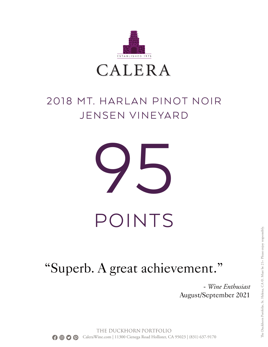

## 2018 MT. HARLAN PINOT NOIR JENSEN VINEYARD



## "Superb. A great achievement."

- *Wine Enthusiast* August/September 2021

THE DUCKHORN PORTFOLIO **Q Q** CaleraWine.com | 11300 Cienega Road Hollister, CA 95023 | (831) 637-9170